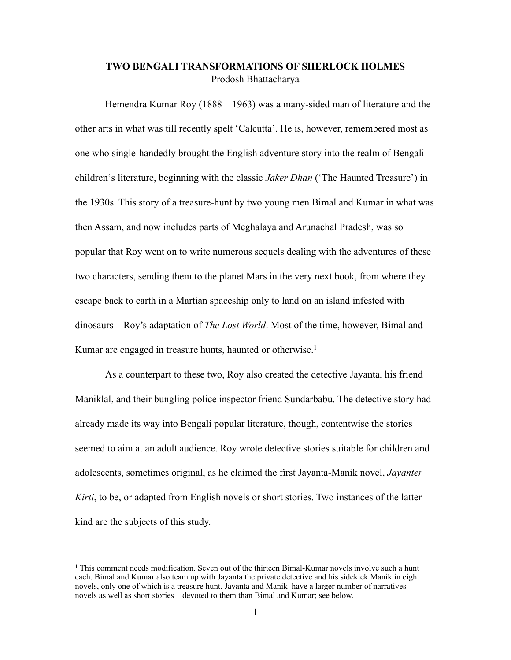## **TWO BENGALI TRANSFORMATIONS OF SHERLOCK HOLMES**  Prodosh Bhattacharya

Hemendra Kumar Roy (1888 – 1963) was a many-sided man of literature and the other arts in what was till recently spelt 'Calcutta'. He is, however, remembered most as one who single-handedly brought the English adventure story into the realm of Bengali children's literature, beginning with the classic *Jaker Dhan* ('The Haunted Treasure') in the 1930s. This story of a treasure-hunt by two young men Bimal and Kumar in what was then Assam, and now includes parts of Meghalaya and Arunachal Pradesh, was so popular that Roy went on to write numerous sequels dealing with the adventures of these two characters, sending them to the planet Mars in the very next book, from where they escape back to earth in a Martian spaceship only to land on an island infested with dinosaurs – Roy's adaptation of *The Lost World*. Most of the time, however, Bimal and Kumar are engaged in treasure hunts, haunted or otherwise.<sup>1</sup>

As a counterpart to these two, Roy also created the detective Jayanta, his friend Maniklal, and their bungling police inspector friend Sundarbabu. The detective story had already made its way into Bengali popular literature, though, contentwise the stories seemed to aim at an adult audience. Roy wrote detective stories suitable for children and adolescents, sometimes original, as he claimed the first Jayanta-Manik novel, *Jayanter Kirti*, to be, or adapted from English novels or short stories. Two instances of the latter kind are the subjects of this study.

 $<sup>1</sup>$  This comment needs modification. Seven out of the thirteen Bimal-Kumar novels involve such a hunt</sup> each. Bimal and Kumar also team up with Jayanta the private detective and his sidekick Manik in eight novels, only one of which is a treasure hunt. Jayanta and Manik have a larger number of narratives – novels as well as short stories – devoted to them than Bimal and Kumar; see below.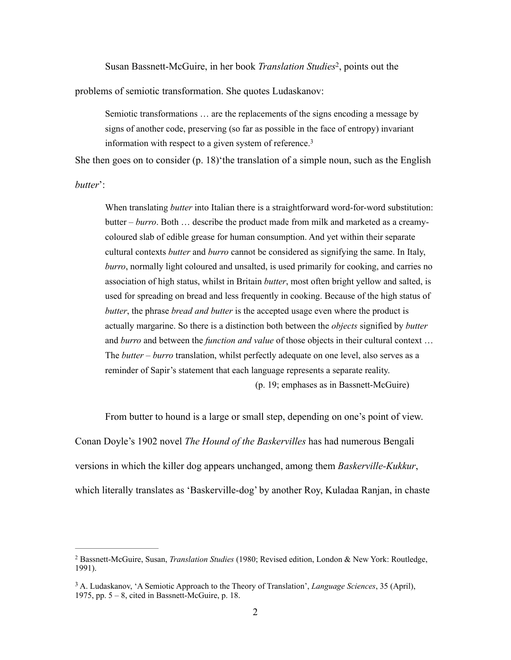Susan Bassnett-McGuire, in her book *Translation Studies*<sup>2</sup>, points out the

problems of semiotic transformation. She quotes Ludaskanov:

Semiotic transformations … are the replacements of the signs encoding a message by signs of another code, preserving (so far as possible in the face of entropy) invariant information with respect to a given system of reference.3

She then goes on to consider (p. 18) the translation of a simple noun, such as the English

*butter*':

When translating *butter* into Italian there is a straightforward word-for-word substitution: butter – *burro*. Both … describe the product made from milk and marketed as a creamycoloured slab of edible grease for human consumption. And yet within their separate cultural contexts *butter* and *burro* cannot be considered as signifying the same. In Italy, *burro*, normally light coloured and unsalted, is used primarily for cooking, and carries no association of high status, whilst in Britain *butter*, most often bright yellow and salted, is used for spreading on bread and less frequently in cooking. Because of the high status of *butter*, the phrase *bread and butter* is the accepted usage even where the product is actually margarine. So there is a distinction both between the *objects* signified by *butter* and *burro* and between the *function and value* of those objects in their cultural context … The *butter – burro* translation, whilst perfectly adequate on one level, also serves as a reminder of Sapir's statement that each language represents a separate reality.

(p. 19; emphases as in Bassnett-McGuire)

From butter to hound is a large or small step, depending on one's point of view. Conan Doyle's 1902 novel *The Hound of the Baskervilles* has had numerous Bengali versions in which the killer dog appears unchanged, among them *Baskerville-Kukkur*, which literally translates as 'Baskerville-dog' by another Roy, Kuladaa Ranjan, in chaste

Bassnett-McGuire, Susan, *Translation Studies* (1980; Revised edition, London & New York: Routledge, 2 1991).

<sup>&</sup>lt;sup>3</sup> A. Ludaskanov, 'A Semiotic Approach to the Theory of Translation', *Language Sciences*, 35 (April), 1975, pp. 5 – 8, cited in Bassnett-McGuire, p. 18.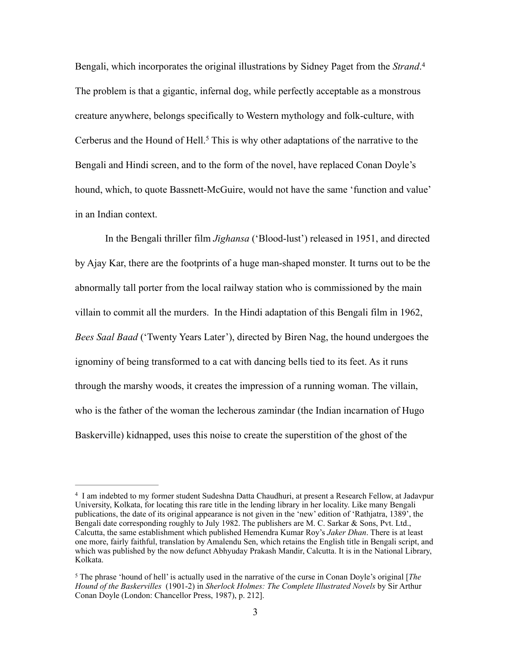Bengali, which incorporates the original illustrations by Sidney Paget from the *Strand*. 4 The problem is that a gigantic, infernal dog, while perfectly acceptable as a monstrous creature anywhere, belongs specifically to Western mythology and folk-culture, with Cerberus and the Hound of Hell.<sup>5</sup> This is why other adaptations of the narrative to the Bengali and Hindi screen, and to the form of the novel, have replaced Conan Doyle's hound, which, to quote Bassnett-McGuire, would not have the same 'function and value' in an Indian context.

In the Bengali thriller film *Jighansa* ('Blood-lust') released in 1951, and directed by Ajay Kar, there are the footprints of a huge man-shaped monster. It turns out to be the abnormally tall porter from the local railway station who is commissioned by the main villain to commit all the murders. In the Hindi adaptation of this Bengali film in 1962, *Bees Saal Baad* ('Twenty Years Later'), directed by Biren Nag, the hound undergoes the ignominy of being transformed to a cat with dancing bells tied to its feet. As it runs through the marshy woods, it creates the impression of a running woman. The villain, who is the father of the woman the lecherous zamindar (the Indian incarnation of Hugo Baskerville) kidnapped, uses this noise to create the superstition of the ghost of the

<sup>&</sup>lt;sup>4</sup> I am indebted to my former student Sudeshna Datta Chaudhuri, at present a Research Fellow, at Jadavpur University, Kolkata, for locating this rare title in the lending library in her locality. Like many Bengali publications, the date of its original appearance is not given in the 'new' edition of 'Rathjatra, 1389', the Bengali date corresponding roughly to July 1982. The publishers are M. C. Sarkar & Sons, Pvt. Ltd., Calcutta, the same establishment which published Hemendra Kumar Roy's *Jaker Dhan*. There is at least one more, fairly faithful, translation by Amalendu Sen, which retains the English title in Bengali script, and which was published by the now defunct Abhyuday Prakash Mandir, Calcutta. It is in the National Library, Kolkata.

<sup>&</sup>lt;sup>5</sup> The phrase 'hound of hell' is actually used in the narrative of the curse in Conan Doyle's original [*The Hound of the Baskervilles* (1901-2) in *Sherlock Holmes: The Complete Illustrated Novels* by Sir Arthur Conan Doyle (London: Chancellor Press, 1987), p. 212].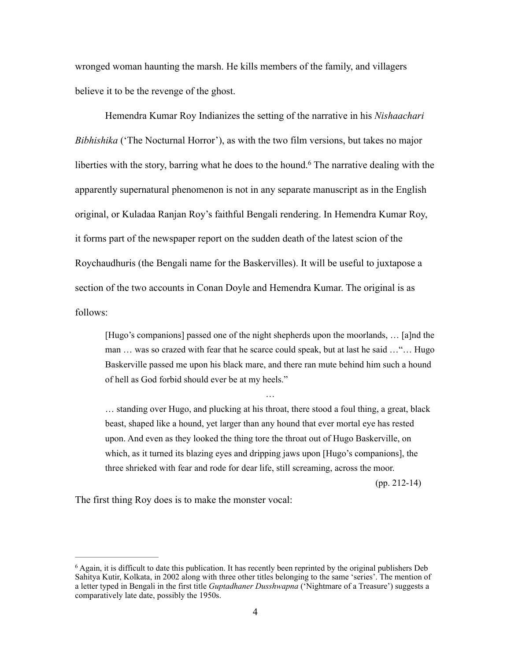wronged woman haunting the marsh. He kills members of the family, and villagers believe it to be the revenge of the ghost.

Hemendra Kumar Roy Indianizes the setting of the narrative in his *Nishaachari Bibhishika* ('The Nocturnal Horror'), as with the two film versions, but takes no major liberties with the story, barring what he does to the hound.<sup>6</sup> The narrative dealing with the apparently supernatural phenomenon is not in any separate manuscript as in the English original, or Kuladaa Ranjan Roy's faithful Bengali rendering. In Hemendra Kumar Roy, it forms part of the newspaper report on the sudden death of the latest scion of the Roychaudhuris (the Bengali name for the Baskervilles). It will be useful to juxtapose a section of the two accounts in Conan Doyle and Hemendra Kumar. The original is as follows:

[Hugo's companions] passed one of the night shepherds upon the moorlands, … [a]nd the man … was so crazed with fear that he scarce could speak, but at last he said …"… Hugo Baskerville passed me upon his black mare, and there ran mute behind him such a hound of hell as God forbid should ever be at my heels."

…

… standing over Hugo, and plucking at his throat, there stood a foul thing, a great, black beast, shaped like a hound, yet larger than any hound that ever mortal eye has rested upon. And even as they looked the thing tore the throat out of Hugo Baskerville, on which, as it turned its blazing eyes and dripping jaws upon [Hugo's companions], the three shrieked with fear and rode for dear life, still screaming, across the moor.

(pp. 212-14)

The first thing Roy does is to make the monster vocal:

 $6$  Again, it is difficult to date this publication. It has recently been reprinted by the original publishers Deb Sahitya Kutir, Kolkata, in 2002 along with three other titles belonging to the same 'series'. The mention of a letter typed in Bengali in the first title *Guptadhaner Dusshwapna* ('Nightmare of a Treasure') suggests a comparatively late date, possibly the 1950s.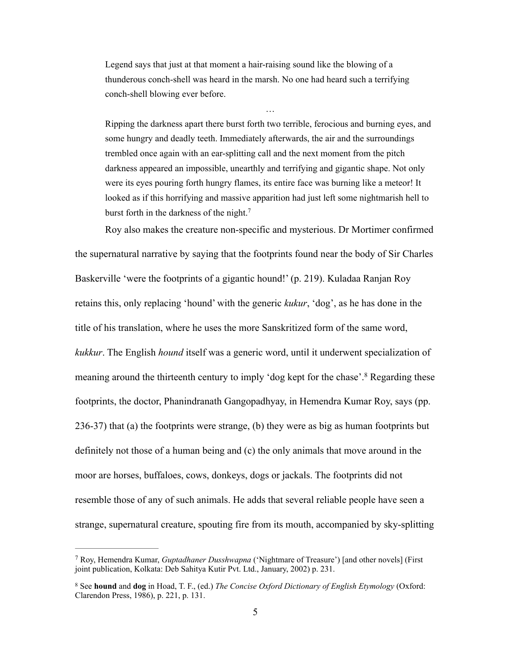Legend says that just at that moment a hair-raising sound like the blowing of a thunderous conch-shell was heard in the marsh. No one had heard such a terrifying conch-shell blowing ever before.

Ripping the darkness apart there burst forth two terrible, ferocious and burning eyes, and some hungry and deadly teeth. Immediately afterwards, the air and the surroundings trembled once again with an ear-splitting call and the next moment from the pitch darkness appeared an impossible, unearthly and terrifying and gigantic shape. Not only were its eyes pouring forth hungry flames, its entire face was burning like a meteor! It looked as if this horrifying and massive apparition had just left some nightmarish hell to burst forth in the darkness of the night.<sup>7</sup>

…

Roy also makes the creature non-specific and mysterious. Dr Mortimer confirmed

the supernatural narrative by saying that the footprints found near the body of Sir Charles Baskerville 'were the footprints of a gigantic hound!' (p. 219). Kuladaa Ranjan Roy retains this, only replacing 'hound' with the generic *kukur*, 'dog', as he has done in the title of his translation, where he uses the more Sanskritized form of the same word, *kukkur*. The English *hound* itself was a generic word, until it underwent specialization of meaning around the thirteenth century to imply 'dog kept for the chase'.<sup>8</sup> Regarding these footprints, the doctor, Phanindranath Gangopadhyay, in Hemendra Kumar Roy, says (pp. 236-37) that (a) the footprints were strange, (b) they were as big as human footprints but definitely not those of a human being and (c) the only animals that move around in the moor are horses, buffaloes, cows, donkeys, dogs or jackals. The footprints did not resemble those of any of such animals. He adds that several reliable people have seen a strange, supernatural creature, spouting fire from its mouth, accompanied by sky-splitting

Roy, Hemendra Kumar, *Guptadhaner Dusshwapna* ('Nightmare of Treasure') [and other novels] (First 7 joint publication, Kolkata: Deb Sahitya Kutir Pvt. Ltd., January, 2002) p. 231.

See **hound** and **dog** in Hoad, T. F., (ed.) *The Concise Oxford Dictionary of English Etymology* (Oxford: 8 Clarendon Press, 1986), p. 221, p. 131.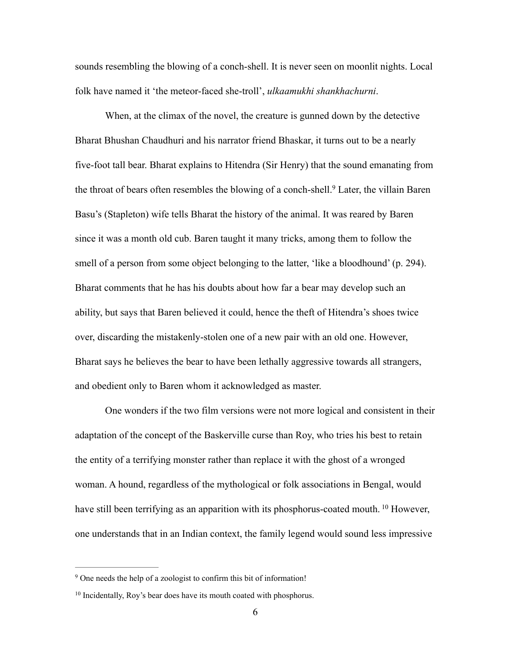sounds resembling the blowing of a conch-shell. It is never seen on moonlit nights. Local folk have named it 'the meteor-faced she-troll', *ulkaamukhi shankhachurni*.

When, at the climax of the novel, the creature is gunned down by the detective Bharat Bhushan Chaudhuri and his narrator friend Bhaskar, it turns out to be a nearly five-foot tall bear. Bharat explains to Hitendra (Sir Henry) that the sound emanating from the throat of bears often resembles the blowing of a conch-shell.<sup>9</sup> Later, the villain Baren Basu's (Stapleton) wife tells Bharat the history of the animal. It was reared by Baren since it was a month old cub. Baren taught it many tricks, among them to follow the smell of a person from some object belonging to the latter, 'like a bloodhound' (p. 294). Bharat comments that he has his doubts about how far a bear may develop such an ability, but says that Baren believed it could, hence the theft of Hitendra's shoes twice over, discarding the mistakenly-stolen one of a new pair with an old one. However, Bharat says he believes the bear to have been lethally aggressive towards all strangers, and obedient only to Baren whom it acknowledged as master.

One wonders if the two film versions were not more logical and consistent in their adaptation of the concept of the Baskerville curse than Roy, who tries his best to retain the entity of a terrifying monster rather than replace it with the ghost of a wronged woman. A hound, regardless of the mythological or folk associations in Bengal, would have still been terrifying as an apparition with its phosphorus-coated mouth. <sup>10</sup> However, one understands that in an Indian context, the family legend would sound less impressive

<sup>&</sup>lt;sup>9</sup> One needs the help of a zoologist to confirm this bit of information!

<sup>&</sup>lt;sup>10</sup> Incidentally, Roy's bear does have its mouth coated with phosphorus.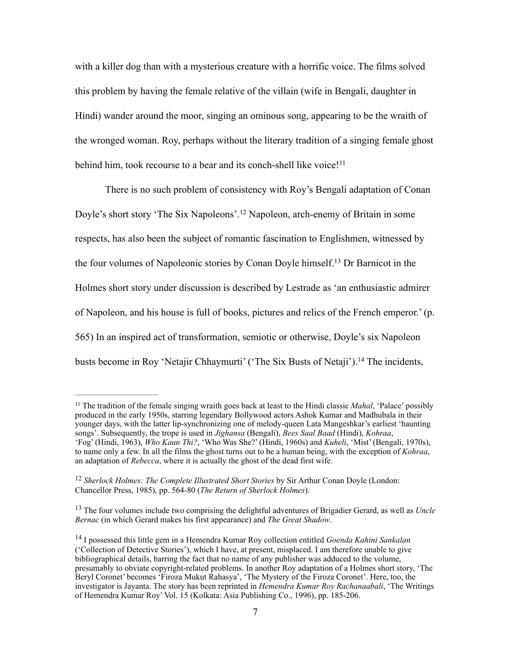with a killer dog than with a mysterious creature with a horrific voice. The films solved this problem by having the female relative of the villain (wife in Bengali, daughter in Hindi) wander around the moor, singing an ominous song, appearing to be the wraith of the wronged woman. Roy, perhaps without the literary tradition of a singing female ghost behind him, took recourse to a bear and its conch-shell like voice!<sup>11</sup>

There is no such problem of consistency with Roy's Bengali adaptation of Conan Doyle's short story 'The Six Napoleons'.<sup>12</sup> Napoleon, arch-enemy of Britain in some respects, has also been the subject of romantic fascination to Englishmen, witnessed by the four volumes of Napoleonic stories by Conan Doyle himself.<sup>13</sup> Dr Barnicot in the Holmes short story under discussion is described by Lestrade as 'an enthusiastic admirer of Napoleon, and his house is full of books, pictures and relics of the French emperor.' (p. 565) In an inspired act of transformation, semiotic or otherwise, Doyle's six Napoleon busts become in Roy 'Netajir Chhaymurti' ('The Six Busts of Netaji').<sup>14</sup> The incidents,

<sup>&</sup>lt;sup>11</sup> The tradition of the female singing wraith goes back at least to the Hindi classic *Mahal*, 'Palace' possibly produced in the early 1950s, starring legendary Bollywood actors Ashok Kumar and Madhubala in their younger days, with the latter lip-synchronizing one of melody-queen Lata Mangeshkar's earliest 'haunting songs'. Subsequently, the trope is used in *Jighansa* (Bengali), *Bees Saal Baad* (Hindi), *Kohraa*, 'Fog' (Hindi, 1963), *Who Kaun Thi?*, 'Who Was She?' (Hindi, 1960s) and *Kuheli*, 'Mist' (Bengali, 1970s), to name only a few. In all the films the ghost turns out to be a human being, with the exception of *Kohraa*, an adaptation of *Rebecca*, where it is actually the ghost of the dead first wife.

<sup>&</sup>lt;sup>12</sup> Sherlock Holmes: The Complete Illustrated Short Stories by Sir Arthur Conan Doyle (London: Chancellor Press, 1985), pp. 564-80 (*The Return of Sherlock Holmes*).

<sup>&</sup>lt;sup>13</sup> The four volumes include two comprising the delightful adventures of Brigadier Gerard, as well as *Uncle Bernac* (in which Gerard makes his first appearance) and *The Great Shadow*.

<sup>&</sup>lt;sup>14</sup> I possessed this little gem in a Hemendra Kumar Roy collection entitled *Goenda Kahini Sankalan* ('Collection of Detective Stories'), which I have, at present, misplaced. I am therefore unable to give bibliographical details, barring the fact that no name of any publisher was adduced to the volume, presumably to obviate copyright-related problems. In another Roy adaptation of a Holmes short story, 'The Beryl Coronet' becomes 'Firoza Mukut Rahasya', 'The Mystery of the Firoza Coronet'. Here, too, the investigator is Jayanta. The story has been reprinted in *Hemendra Kumar Roy Rachanaabali*, 'The Writings of Hemendra Kumar Roy' Vol. 15 (Kolkata: Asia Publishing Co., 1996), pp. 185-206.